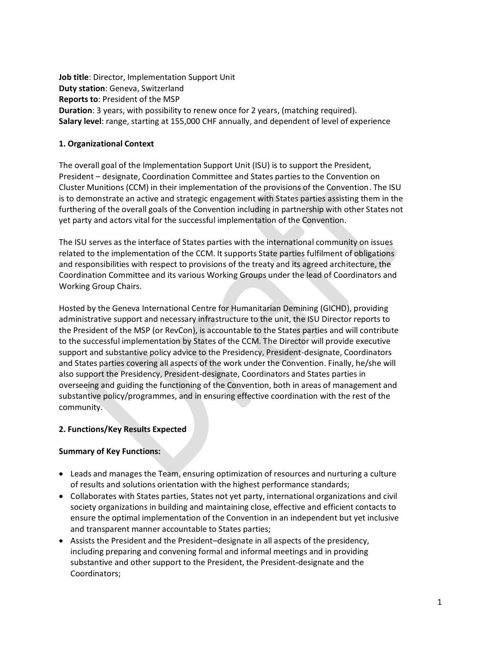**Job title**: Director, Implementation Support Unit **Duty station**: Geneva, Switzerland **Reports to**: President of the MSP **Duration**: 3 years, with possibility to renew once for 2 years, (matching required). **Salary level**: range, starting at 155,000 CHF annually, and dependent of level of experience

# **1. Organizational Context**

The overall goal of the Implementation Support Unit (ISU) is to support the President, President – designate, Coordination Committee and States parties to the Convention on Cluster Munitions (CCM) in their implementation of the provisions of the Convention. The ISU is to demonstrate an active and strategic engagement with States parties assisting them in the furthering of the overall goals of the Convention including in partnership with other States not yet party and actors vital for the successful implementation of the Convention.

The ISU serves as the interface of States parties with the international community on issues related to the implementation of the CCM. It supports State parties fulfilment of obligations and responsibilities with respect to provisions of the treaty and its agreed architecture, the Coordination Committee and its various Working Groups under the lead of Coordinators and Working Group Chairs.

Hosted by the Geneva International Centre for Humanitarian Demining (GICHD), providing administrative support and necessary infrastructure to the unit, the ISU Director reports to the President of the MSP (or RevCon), is accountable to the States parties and will contribute to the successful implementation by States of the CCM. The Director will provide executive support and substantive policy advice to the Presidency, President-designate, Coordinators and States parties covering all aspects of the work under the Convention. Finally, he/she will also support the Presidency, President-designate, Coordinators and States parties in overseeing and guiding the functioning of the Convention, both in areas of management and substantive policy/programmes, and in ensuring effective coordination with the rest of the community.

## **2. Functions/Key Results Expected**

## **Summary of Key Functions:**

- Leads and manages the Team, ensuring optimization of resources and nurturing a culture of results and solutions orientation with the highest performance standards;
- Collaborates with States parties, States not yet party, international organizations and civil society organizations in building and maintaining close, effective and efficient contacts to ensure the optimal implementation of the Convention in an independent but yet inclusive and transparent manner accountable to States parties;
- Assists the President and the President–designate in all aspects of the presidency, including preparing and convening formal and informal meetings and in providing substantive and other support to the President, the President-designate and the Coordinators;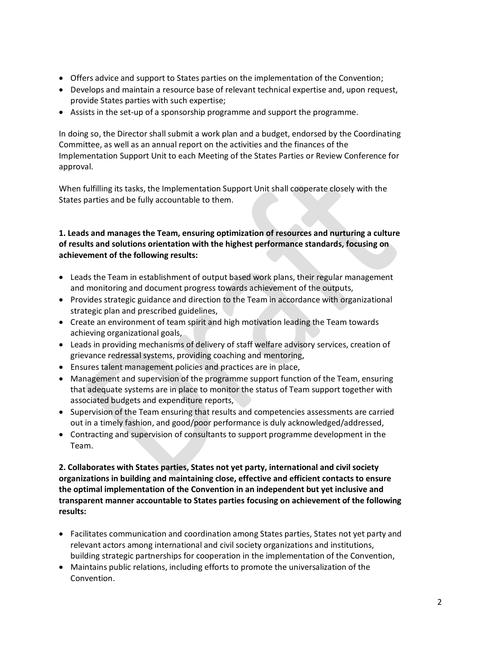- Offers advice and support to States parties on the implementation of the Convention;
- Develops and maintain a resource base of relevant technical expertise and, upon request, provide States parties with such expertise;
- Assists in the set-up of a sponsorship programme and support the programme.

In doing so, the Director shall submit a work plan and a budget, endorsed by the Coordinating Committee, as well as an annual report on the activities and the finances of the Implementation Support Unit to each Meeting of the States Parties or Review Conference for approval.

When fulfilling its tasks, the Implementation Support Unit shall cooperate closely with the States parties and be fully accountable to them.

# **1. Leads and manages the Team, ensuring optimization of resources and nurturing a culture of results and solutions orientation with the highest performance standards, focusing on achievement of the following results:**

- Leads the Team in establishment of output based work plans, their regular management and monitoring and document progress towards achievement of the outputs,
- Provides strategic guidance and direction to the Team in accordance with organizational strategic plan and prescribed guidelines,
- Create an environment of team spirit and high motivation leading the Team towards achieving organizational goals,
- Leads in providing mechanisms of delivery of staff welfare advisory services, creation of grievance redressal systems, providing coaching and mentoring,
- Ensures talent management policies and practices are in place,
- Management and supervision of the programme support function of the Team, ensuring that adequate systems are in place to monitor the status of Team support together with associated budgets and expenditure reports,
- Supervision of the Team ensuring that results and competencies assessments are carried out in a timely fashion, and good/poor performance is duly acknowledged/addressed,
- Contracting and supervision of consultants to support programme development in the Team.

**2. Collaborates with States parties, States not yet party, international and civil society organizations in building and maintaining close, effective and efficient contacts to ensure the optimal implementation of the Convention in an independent but yet inclusive and transparent manner accountable to States parties focusing on achievement of the following results:**

- Facilitates communication and coordination among States parties, States not yet party and relevant actors among international and civil society organizations and institutions, building strategic partnerships for cooperation in the implementation of the Convention,
- Maintains public relations, including efforts to promote the universalization of the Convention.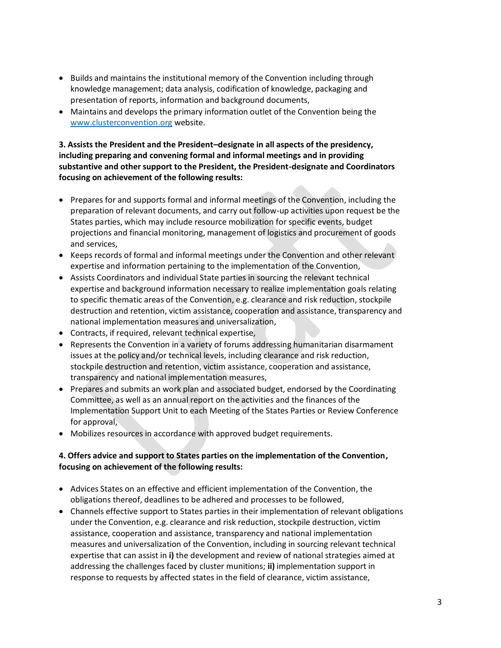- Builds and maintains the institutional memory of the Convention including through knowledge management; data analysis, codification of knowledge, packaging and presentation of reports, information and background documents,
- Maintains and develops the primary information outlet of the Convention being the [www.clusterconvention.org](http://www.clusterconvention.org/) website.

# **3. Assists the President and the President–designate in all aspects of the presidency, including preparing and convening formal and informal meetings and in providing substantive and other support to the President, the President-designate and Coordinators focusing on achievement of the following results:**

- Prepares for and supports formal and informal meetings of the Convention, including the preparation of relevant documents, and carry out follow-up activities upon request be the States parties, which may include resource mobilization for specific events, budget projections and financial monitoring, management of logistics and procurement of goods and services,
- Keeps records of formal and informal meetings under the Convention and other relevant expertise and information pertaining to the implementation of the Convention,
- Assists Coordinators and individual State parties in sourcing the relevant technical expertise and background information necessary to realize implementation goals relating to specific thematic areas of the Convention, e.g. clearance and risk reduction, stockpile destruction and retention, victim assistance, cooperation and assistance, transparency and national implementation measures and universalization,
- Contracts, if required, relevant technical expertise,
- Represents the Convention in a variety of forums addressing humanitarian disarmament issues at the policy and/or technical levels, including clearance and risk reduction, stockpile destruction and retention, victim assistance, cooperation and assistance, transparency and national implementation measures,
- Prepares and submits an work plan and associated budget, endorsed by the Coordinating Committee, as well as an annual report on the activities and the finances of the Implementation Support Unit to each Meeting of the States Parties or Review Conference for approval,
- Mobilizes resources in accordance with approved budget requirements.

# **4. Offers advice and support to States parties on the implementation of the Convention, focusing on achievement of the following results:**

- Advices States on an effective and efficient implementation of the Convention, the obligations thereof, deadlines to be adhered and processes to be followed,
- Channels effective support to States parties in their implementation of relevant obligations under the Convention, e.g. clearance and risk reduction, stockpile destruction, victim assistance, cooperation and assistance, transparency and national implementation measures and universalization of the Convention, including in sourcing relevant technical expertise that can assist in **i)** the development and review of national strategies aimed at addressing the challenges faced by cluster munitions; **ii)** implementation support in response to requests by affected states in the field of clearance, victim assistance,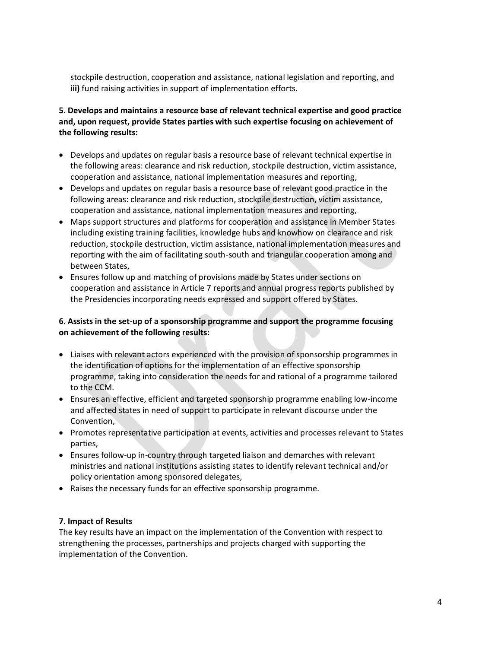stockpile destruction, cooperation and assistance, national legislation and reporting, and **iii)** fund raising activities in support of implementation efforts.

# **5. Develops and maintains a resource base of relevant technical expertise and good practice and, upon request, provide States parties with such expertise focusing on achievement of the following results:**

- Develops and updates on regular basis a resource base of relevant technical expertise in the following areas: clearance and risk reduction, stockpile destruction, victim assistance, cooperation and assistance, national implementation measures and reporting,
- Develops and updates on regular basis a resource base of relevant good practice in the following areas: clearance and risk reduction, stockpile destruction, victim assistance, cooperation and assistance, national implementation measures and reporting,
- Maps support structures and platforms for cooperation and assistance in Member States including existing training facilities, knowledge hubs and knowhow on clearance and risk reduction, stockpile destruction, victim assistance, national implementation measures and reporting with the aim of facilitating south-south and triangular cooperation among and between States,
- Ensures follow up and matching of provisions made by States under sections on cooperation and assistance in Article 7 reports and annual progress reports published by the Presidencies incorporating needs expressed and support offered by States.

## **6. Assists in the set-up of a sponsorship programme and support the programme focusing on achievement of the following results:**

- Liaises with relevant actors experienced with the provision of sponsorship programmes in the identification of options for the implementation of an effective sponsorship programme, taking into consideration the needs for and rational of a programme tailored to the CCM.
- Ensures an effective, efficient and targeted sponsorship programme enabling low-income and affected states in need of support to participate in relevant discourse under the Convention,
- Promotes representative participation at events, activities and processes relevant to States parties,
- Ensures follow-up in-country through targeted liaison and demarches with relevant ministries and national institutions assisting states to identify relevant technical and/or policy orientation among sponsored delegates,
- Raises the necessary funds for an effective sponsorship programme.

# **7. Impact of Results**

The key results have an impact on the implementation of the Convention with respect to strengthening the processes, partnerships and projects charged with supporting the implementation of the Convention.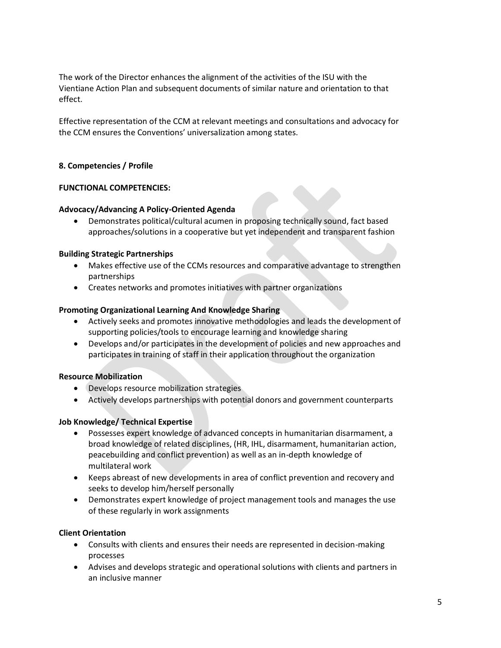The work of the Director enhances the alignment of the activities of the ISU with the Vientiane Action Plan and subsequent documents of similar nature and orientation to that effect.

Effective representation of the CCM at relevant meetings and consultations and advocacy for the CCM ensures the Conventions' universalization among states.

## **8. Competencies / Profile**

## **FUNCTIONAL COMPETENCIES:**

#### **Advocacy/Advancing A Policy-Oriented Agenda**

 Demonstrates political/cultural acumen in proposing technically sound, fact based approaches/solutions in a cooperative but yet independent and transparent fashion

#### **Building Strategic Partnerships**

- Makes effective use of the CCMs resources and comparative advantage to strengthen partnerships
- Creates networks and promotes initiatives with partner organizations

#### **Promoting Organizational Learning And Knowledge Sharing**

- Actively seeks and promotes innovative methodologies and leads the development of supporting policies/tools to encourage learning and knowledge sharing
- Develops and/or participates in the development of policies and new approaches and participates in training of staff in their application throughout the organization

## **Resource Mobilization**

- Develops resource mobilization strategies
- Actively develops partnerships with potential donors and government counterparts

#### **Job Knowledge/ Technical Expertise**

- Possesses expert knowledge of advanced concepts in humanitarian disarmament, a broad knowledge of related disciplines, (HR, IHL, disarmament, humanitarian action, peacebuilding and conflict prevention) as well as an in-depth knowledge of multilateral work
- Keeps abreast of new developments in area of conflict prevention and recovery and seeks to develop him/herself personally
- Demonstrates expert knowledge of project management tools and manages the use of these regularly in work assignments

## **Client Orientation**

- Consults with clients and ensures their needs are represented in decision-making processes
- Advises and develops strategic and operational solutions with clients and partners in an inclusive manner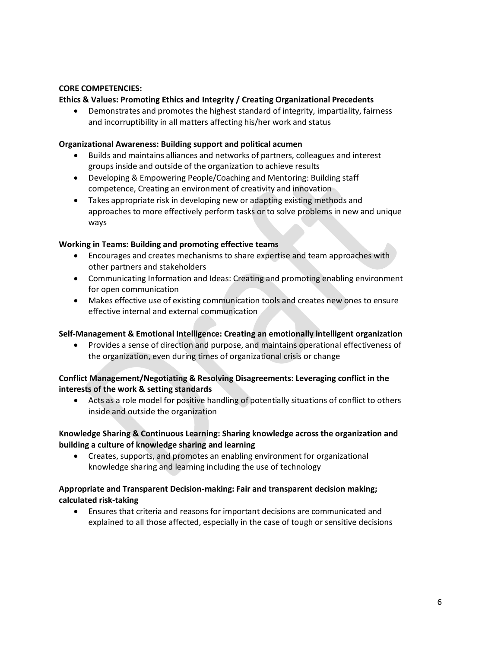## **CORE COMPETENCIES:**

## **Ethics & Values: Promoting Ethics and Integrity / Creating Organizational Precedents**

 Demonstrates and promotes the highest standard of integrity, impartiality, fairness and incorruptibility in all matters affecting his/her work and status

### **Organizational Awareness: Building support and political acumen**

- Builds and maintains alliances and networks of partners, colleagues and interest groups inside and outside of the organization to achieve results
- Developing & Empowering People/Coaching and Mentoring: Building staff competence, Creating an environment of creativity and innovation
- Takes appropriate risk in developing new or adapting existing methods and approaches to more effectively perform tasks or to solve problems in new and unique ways

#### **Working in Teams: Building and promoting effective teams**

- Encourages and creates mechanisms to share expertise and team approaches with other partners and stakeholders
- Communicating Information and Ideas: Creating and promoting enabling environment for open communication
- Makes effective use of existing communication tools and creates new ones to ensure effective internal and external communication

## **Self-Management & Emotional Intelligence: Creating an emotionally intelligent organization**

 Provides a sense of direction and purpose, and maintains operational effectiveness of the organization, even during times of organizational crisis or change

## **Conflict Management/Negotiating & Resolving Disagreements: Leveraging conflict in the interests of the work & setting standards**

 Acts as a role model for positive handling of potentially situations of conflict to others inside and outside the organization

## **Knowledge Sharing & Continuous Learning: Sharing knowledge across the organization and building a culture of knowledge sharing and learning**

 Creates, supports, and promotes an enabling environment for organizational knowledge sharing and learning including the use of technology

## **Appropriate and Transparent Decision-making: Fair and transparent decision making; calculated risk-taking**

 Ensures that criteria and reasons for important decisions are communicated and explained to all those affected, especially in the case of tough or sensitive decisions